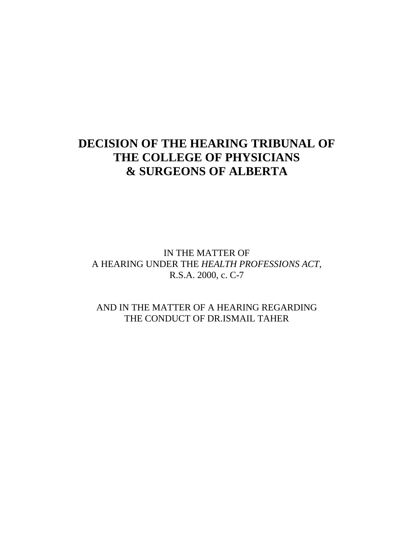# **DECISION OF THE HEARING TRIBUNAL OF THE COLLEGE OF PHYSICIANS & SURGEONS OF ALBERTA**

IN THE MATTER OF A HEARING UNDER THE *HEALTH PROFESSIONS ACT*, R.S.A. 2000, c. C-7

AND IN THE MATTER OF A HEARING REGARDING THE CONDUCT OF DR.ISMAIL TAHER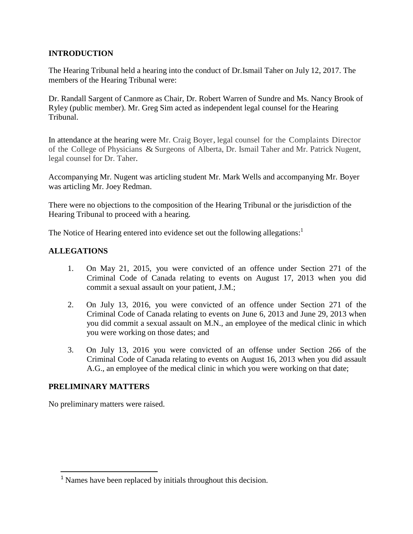## **INTRODUCTION**

The Hearing Tribunal held a hearing into the conduct of Dr.Ismail Taher on July 12, 2017. The members of the Hearing Tribunal were:

Dr. Randall Sargent of Canmore as Chair, Dr. Robert Warren of Sundre and Ms. Nancy Brook of Ryley (public member). Mr. Greg Sim acted as independent legal counsel for the Hearing Tribunal.

In attendance at the hearing were Mr. Craig Boyer, legal counsel for the Complaints Director of the College of Physicians & Surgeons of Alberta, Dr. Ismail Taher and Mr. Patrick Nugent, legal counsel for Dr. Taher.

Accompanying Mr. Nugent was articling student Mr. Mark Wells and accompanying Mr. Boyer was articling Mr. Joey Redman.

There were no objections to the composition of the Hearing Tribunal or the jurisdiction of the Hearing Tribunal to proceed with a hearing.

The Notice of Hearing entered into evidence set out the following allegations:<sup>1</sup>

## **ALLEGATIONS**

- 1. On May 21, 2015, you were convicted of an offence under Section 271 of the Criminal Code of Canada relating to events on August 17, 2013 when you did commit a sexual assault on your patient, J.M.;
- 2. On July 13, 2016, you were convicted of an offence under Section 271 of the Criminal Code of Canada relating to events on June 6, 2013 and June 29, 2013 when you did commit a sexual assault on M.N., an employee of the medical clinic in which you were working on those dates; and
- 3. On July 13, 2016 you were convicted of an offense under Section 266 of the Criminal Code of Canada relating to events on August 16, 2013 when you did assault A.G., an employee of the medical clinic in which you were working on that date;

## **PRELIMINARY MATTERS**

No preliminary matters were raised.

<sup>&</sup>lt;sup>1</sup> Names have been replaced by initials throughout this decision.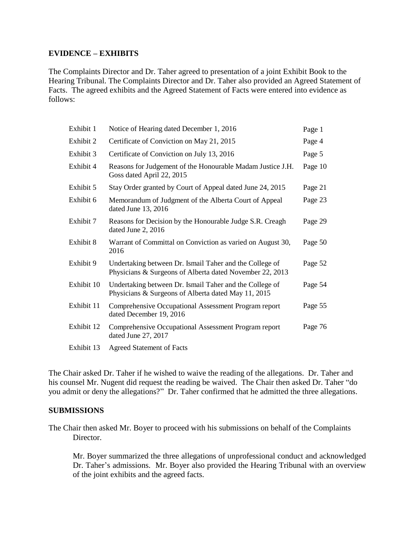### **EVIDENCE – EXHIBITS**

The Complaints Director and Dr. Taher agreed to presentation of a joint Exhibit Book to the Hearing Tribunal. The Complaints Director and Dr. Taher also provided an Agreed Statement of Facts. The agreed exhibits and the Agreed Statement of Facts were entered into evidence as follows:

| Exhibit 1  | Notice of Hearing dated December 1, 2016                                                                            | Page 1  |
|------------|---------------------------------------------------------------------------------------------------------------------|---------|
| Exhibit 2  | Certificate of Conviction on May 21, 2015                                                                           | Page 4  |
| Exhibit 3  | Certificate of Conviction on July 13, 2016                                                                          | Page 5  |
| Exhibit 4  | Reasons for Judgement of the Honourable Madam Justice J.H.<br>Goss dated April 22, 2015                             | Page 10 |
| Exhibit 5  | Stay Order granted by Court of Appeal dated June 24, 2015                                                           | Page 21 |
| Exhibit 6  | Memorandum of Judgment of the Alberta Court of Appeal<br>dated June 13, 2016                                        | Page 23 |
| Exhibit 7  | Reasons for Decision by the Honourable Judge S.R. Creagh<br>dated June 2, 2016                                      | Page 29 |
| Exhibit 8  | Warrant of Committal on Conviction as varied on August 30,<br>2016                                                  | Page 50 |
| Exhibit 9  | Undertaking between Dr. Ismail Taher and the College of<br>Physicians & Surgeons of Alberta dated November 22, 2013 | Page 52 |
| Exhibit 10 | Undertaking between Dr. Ismail Taher and the College of<br>Physicians & Surgeons of Alberta dated May 11, 2015      | Page 54 |
| Exhibit 11 | Comprehensive Occupational Assessment Program report<br>dated December 19, 2016                                     | Page 55 |
| Exhibit 12 | Comprehensive Occupational Assessment Program report<br>dated June 27, 2017                                         | Page 76 |
| Exhibit 13 | <b>Agreed Statement of Facts</b>                                                                                    |         |

The Chair asked Dr. Taher if he wished to waive the reading of the allegations. Dr. Taher and his counsel Mr. Nugent did request the reading be waived. The Chair then asked Dr. Taher "do you admit or deny the allegations?" Dr. Taher confirmed that he admitted the three allegations.

#### **SUBMISSIONS**

The Chair then asked Mr. Boyer to proceed with his submissions on behalf of the Complaints Director.

Mr. Boyer summarized the three allegations of unprofessional conduct and acknowledged Dr. Taher's admissions. Mr. Boyer also provided the Hearing Tribunal with an overview of the joint exhibits and the agreed facts.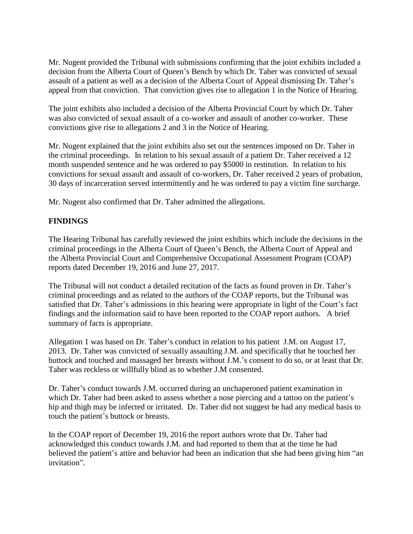Mr. Nugent provided the Tribunal with submissions confirming that the joint exhibits included a decision from the Alberta Court of Queen's Bench by which Dr. Taher was convicted of sexual assault of a patient as well as a decision of the Alberta Court of Appeal dismissing Dr. Taher's appeal from that conviction. That conviction gives rise to allegation 1 in the Notice of Hearing.

The joint exhibits also included a decision of the Alberta Provincial Court by which Dr. Taher was also convicted of sexual assault of a co-worker and assault of another co-worker. These convictions give rise to allegations 2 and 3 in the Notice of Hearing.

Mr. Nugent explained that the joint exhibits also set out the sentences imposed on Dr. Taher in the criminal proceedings. In relation to his sexual assault of a patient Dr. Taher received a 12 month suspended sentence and he was ordered to pay \$5000 in restitution. In relation to his convictions for sexual assault and assault of co-workers, Dr. Taher received 2 years of probation, 30 days of incarceration served intermittently and he was ordered to pay a victim fine surcharge.

Mr. Nugent also confirmed that Dr. Taher admitted the allegations.

## **FINDINGS**

The Hearing Tribunal has carefully reviewed the joint exhibits which include the decisions in the criminal proceedings in the Alberta Court of Queen's Bench, the Alberta Court of Appeal and the Alberta Provincial Court and Comprehensive Occupational Assessment Program (COAP) reports dated December 19, 2016 and June 27, 2017.

The Tribunal will not conduct a detailed recitation of the facts as found proven in Dr. Taher's criminal proceedings and as related to the authors of the COAP reports, but the Tribunal was satisfied that Dr. Taher's admissions in this hearing were appropriate in light of the Court's fact findings and the information said to have been reported to the COAP report authors. A brief summary of facts is appropriate.

Allegation 1 was based on Dr. Taher's conduct in relation to his patient J.M. on August 17, 2013. Dr. Taher was convicted of sexually assaulting J.M. and specifically that he touched her buttock and touched and massaged her breasts without J.M.'s consent to do so, or at least that Dr. Taher was reckless or willfully blind as to whether J.M consented.

Dr. Taher's conduct towards J.M. occurred during an unchaperoned patient examination in which Dr. Taher had been asked to assess whether a nose piercing and a tattoo on the patient's hip and thigh may be infected or irritated. Dr. Taher did not suggest he had any medical basis to touch the patient's buttock or breasts.

In the COAP report of December 19, 2016 the report authors wrote that Dr. Taher had acknowledged this conduct towards J.M. and had reported to them that at the time he had believed the patient's attire and behavior had been an indication that she had been giving him "an invitation".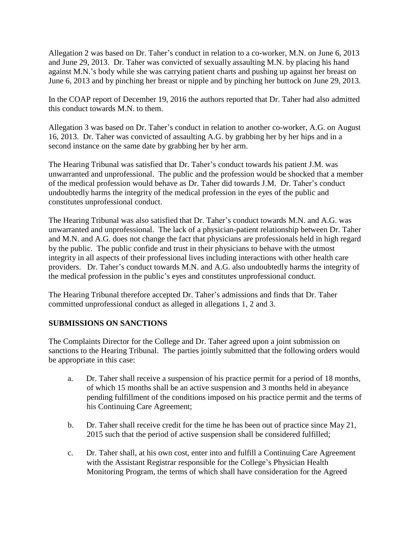Allegation 2 was based on Dr. Taher's conduct in relation to a co-worker, M.N. on June 6, 2013 and June 29, 2013. Dr. Taher was convicted of sexually assaulting M.N. by placing his hand against M.N.'s body while she was carrying patient charts and pushing up against her breast on June 6, 2013 and by pinching her breast or nipple and by pinching her buttock on June 29, 2013.

In the COAP report of December 19, 2016 the authors reported that Dr. Taher had also admitted this conduct towards M.N. to them.

Allegation 3 was based on Dr. Taher's conduct in relation to another co-worker, A.G. on August 16, 2013. Dr. Taher was convicted of assaulting A.G. by grabbing her by her hips and in a second instance on the same date by grabbing her by her arm.

The Hearing Tribunal was satisfied that Dr. Taher's conduct towards his patient J.M. was unwarranted and unprofessional. The public and the profession would be shocked that a member of the medical profession would behave as Dr. Taher did towards J.M. Dr. Taher's conduct undoubtedly harms the integrity of the medical profession in the eyes of the public and constitutes unprofessional conduct.

The Hearing Tribunal was also satisfied that Dr. Taher's conduct towards M.N. and A.G. was unwarranted and unprofessional. The lack of a physician-patient relationship between Dr. Taher and M.N. and A.G. does not change the fact that physicians are professionals held in high regard by the public. The public confide and trust in their physicians to behave with the utmost integrity in all aspects of their professional lives including interactions with other health care providers. Dr. Taher's conduct towards M.N. and A.G. also undoubtedly harms the integrity of the medical profession in the public's eyes and constitutes unprofessional conduct.

The Hearing Tribunal therefore accepted Dr. Taher's admissions and finds that Dr. Taher committed unprofessional conduct as alleged in allegations 1, 2 and 3.

## **SUBMISSIONS ON SANCTIONS**

The Complaints Director for the College and Dr. Taher agreed upon a joint submission on sanctions to the Hearing Tribunal. The parties jointly submitted that the following orders would be appropriate in this case:

- a. Dr. Taher shall receive a suspension of his practice permit for a period of 18 months, of which 15 months shall be an active suspension and 3 months held in abeyance pending fulfillment of the conditions imposed on his practice permit and the terms of his Continuing Care Agreement;
- b. Dr. Taher shall receive credit for the time he has been out of practice since May 21, 2015 such that the period of active suspension shall be considered fulfilled;
- c. Dr. Taher shall, at his own cost, enter into and fulfill a Continuing Care Agreement with the Assistant Registrar responsible for the College's Physician Health Monitoring Program, the terms of which shall have consideration for the Agreed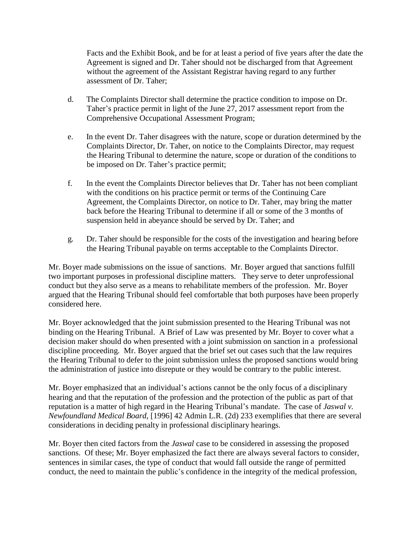Facts and the Exhibit Book, and be for at least a period of five years after the date the Agreement is signed and Dr. Taher should not be discharged from that Agreement without the agreement of the Assistant Registrar having regard to any further assessment of Dr. Taher;

- d. The Complaints Director shall determine the practice condition to impose on Dr. Taher's practice permit in light of the June 27, 2017 assessment report from the Comprehensive Occupational Assessment Program;
- e. In the event Dr. Taher disagrees with the nature, scope or duration determined by the Complaints Director, Dr. Taher, on notice to the Complaints Director, may request the Hearing Tribunal to determine the nature, scope or duration of the conditions to be imposed on Dr. Taher's practice permit;
- f. In the event the Complaints Director believes that Dr. Taher has not been compliant with the conditions on his practice permit or terms of the Continuing Care Agreement, the Complaints Director, on notice to Dr. Taher, may bring the matter back before the Hearing Tribunal to determine if all or some of the 3 months of suspension held in abeyance should be served by Dr. Taher; and
- g. Dr. Taher should be responsible for the costs of the investigation and hearing before the Hearing Tribunal payable on terms acceptable to the Complaints Director.

Mr. Boyer made submissions on the issue of sanctions. Mr. Boyer argued that sanctions fulfill two important purposes in professional discipline matters. They serve to deter unprofessional conduct but they also serve as a means to rehabilitate members of the profession. Mr. Boyer argued that the Hearing Tribunal should feel comfortable that both purposes have been properly considered here.

Mr. Boyer acknowledged that the joint submission presented to the Hearing Tribunal was not binding on the Hearing Tribunal. A Brief of Law was presented by Mr. Boyer to cover what a decision maker should do when presented with a joint submission on sanction in a professional discipline proceeding. Mr. Boyer argued that the brief set out cases such that the law requires the Hearing Tribunal to defer to the joint submission unless the proposed sanctions would bring the administration of justice into disrepute or they would be contrary to the public interest.

Mr. Boyer emphasized that an individual's actions cannot be the only focus of a disciplinary hearing and that the reputation of the profession and the protection of the public as part of that reputation is a matter of high regard in the Hearing Tribunal's mandate. The case of *Jaswal v. Newfoundland Medical Board*, [1996] 42 Admin L.R. (2d) 233 exemplifies that there are several considerations in deciding penalty in professional disciplinary hearings.

Mr. Boyer then cited factors from the *Jaswal* case to be considered in assessing the proposed sanctions. Of these; Mr. Boyer emphasized the fact there are always several factors to consider, sentences in similar cases, the type of conduct that would fall outside the range of permitted conduct, the need to maintain the public's confidence in the integrity of the medical profession,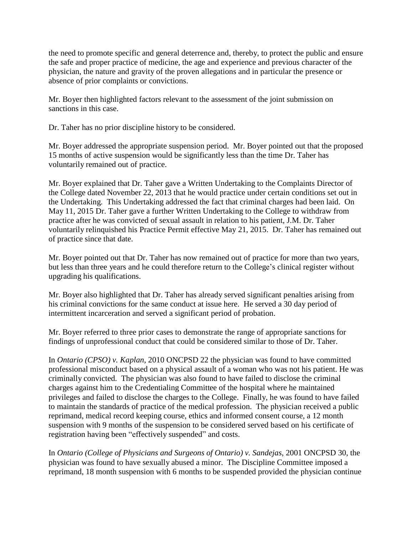the need to promote specific and general deterrence and, thereby, to protect the public and ensure the safe and proper practice of medicine, the age and experience and previous character of the physician, the nature and gravity of the proven allegations and in particular the presence or absence of prior complaints or convictions.

Mr. Boyer then highlighted factors relevant to the assessment of the joint submission on sanctions in this case.

Dr. Taher has no prior discipline history to be considered.

Mr. Boyer addressed the appropriate suspension period. Mr. Boyer pointed out that the proposed 15 months of active suspension would be significantly less than the time Dr. Taher has voluntarily remained out of practice.

Mr. Boyer explained that Dr. Taher gave a Written Undertaking to the Complaints Director of the College dated November 22, 2013 that he would practice under certain conditions set out in the Undertaking. This Undertaking addressed the fact that criminal charges had been laid. On May 11, 2015 Dr. Taher gave a further Written Undertaking to the College to withdraw from practice after he was convicted of sexual assault in relation to his patient, J.M. Dr. Taher voluntarily relinquished his Practice Permit effective May 21, 2015. Dr. Taher has remained out of practice since that date.

Mr. Boyer pointed out that Dr. Taher has now remained out of practice for more than two years, but less than three years and he could therefore return to the College's clinical register without upgrading his qualifications.

Mr. Boyer also highlighted that Dr. Taher has already served significant penalties arising from his criminal convictions for the same conduct at issue here. He served a 30 day period of intermittent incarceration and served a significant period of probation.

Mr. Boyer referred to three prior cases to demonstrate the range of appropriate sanctions for findings of unprofessional conduct that could be considered similar to those of Dr. Taher.

In *Ontario (CPSO) v. Kaplan*, 2010 ONCPSD 22 the physician was found to have committed professional misconduct based on a physical assault of a woman who was not his patient. He was criminally convicted. The physician was also found to have failed to disclose the criminal charges against him to the Credentialing Committee of the hospital where he maintained privileges and failed to disclose the charges to the College. Finally, he was found to have failed to maintain the standards of practice of the medical profession. The physician received a public reprimand, medical record keeping course, ethics and informed consent course, a 12 month suspension with 9 months of the suspension to be considered served based on his certificate of registration having been "effectively suspended" and costs.

In *Ontario (College of Physicians and Surgeons of Ontario) v. Sandejas*, 2001 ONCPSD 30, the physician was found to have sexually abused a minor. The Discipline Committee imposed a reprimand, 18 month suspension with 6 months to be suspended provided the physician continue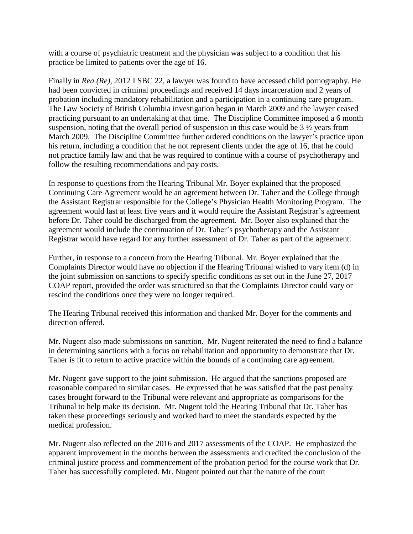with a course of psychiatric treatment and the physician was subject to a condition that his practice be limited to patients over the age of 16.

Finally in *Rea (Re)*, 2012 LSBC 22, a lawyer was found to have accessed child pornography. He had been convicted in criminal proceedings and received 14 days incarceration and 2 years of probation including mandatory rehabilitation and a participation in a continuing care program. The Law Society of British Columbia investigation began in March 2009 and the lawyer ceased practicing pursuant to an undertaking at that time. The Discipline Committee imposed a 6 month suspension, noting that the overall period of suspension in this case would be 3 ½ years from March 2009. The Discipline Committee further ordered conditions on the lawyer's practice upon his return, including a condition that he not represent clients under the age of 16, that he could not practice family law and that he was required to continue with a course of psychotherapy and follow the resulting recommendations and pay costs.

In response to questions from the Hearing Tribunal Mr. Boyer explained that the proposed Continuing Care Agreement would be an agreement between Dr. Taher and the College through the Assistant Registrar responsible for the College's Physician Health Monitoring Program. The agreement would last at least five years and it would require the Assistant Registrar's agreement before Dr. Taher could be discharged from the agreement. Mr. Boyer also explained that the agreement would include the continuation of Dr. Taher's psychotherapy and the Assistant Registrar would have regard for any further assessment of Dr. Taher as part of the agreement.

Further, in response to a concern from the Hearing Tribunal. Mr. Boyer explained that the Complaints Director would have no objection if the Hearing Tribunal wished to vary item (d) in the joint submission on sanctions to specify specific conditions as set out in the June 27, 2017 COAP report, provided the order was structured so that the Complaints Director could vary or rescind the conditions once they were no longer required.

The Hearing Tribunal received this information and thanked Mr. Boyer for the comments and direction offered.

Mr. Nugent also made submissions on sanction. Mr. Nugent reiterated the need to find a balance in determining sanctions with a focus on rehabilitation and opportunity to demonstrate that Dr. Taher is fit to return to active practice within the bounds of a continuing care agreement.

Mr. Nugent gave support to the joint submission. He argued that the sanctions proposed are reasonable compared to similar cases. He expressed that he was satisfied that the past penalty cases brought forward to the Tribunal were relevant and appropriate as comparisons for the Tribunal to help make its decision. Mr. Nugent told the Hearing Tribunal that Dr. Taher has taken these proceedings seriously and worked hard to meet the standards expected by the medical profession.

Mr. Nugent also reflected on the 2016 and 2017 assessments of the COAP. He emphasized the apparent improvement in the months between the assessments and credited the conclusion of the criminal justice process and commencement of the probation period for the course work that Dr. Taher has successfully completed. Mr. Nugent pointed out that the nature of the court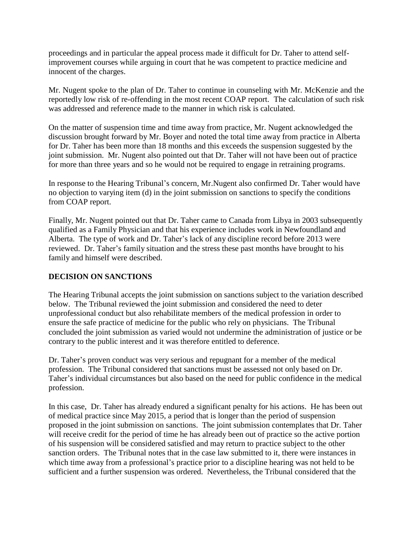proceedings and in particular the appeal process made it difficult for Dr. Taher to attend selfimprovement courses while arguing in court that he was competent to practice medicine and innocent of the charges.

Mr. Nugent spoke to the plan of Dr. Taher to continue in counseling with Mr. McKenzie and the reportedly low risk of re-offending in the most recent COAP report. The calculation of such risk was addressed and reference made to the manner in which risk is calculated.

On the matter of suspension time and time away from practice, Mr. Nugent acknowledged the discussion brought forward by Mr. Boyer and noted the total time away from practice in Alberta for Dr. Taher has been more than 18 months and this exceeds the suspension suggested by the joint submission. Mr. Nugent also pointed out that Dr. Taher will not have been out of practice for more than three years and so he would not be required to engage in retraining programs.

In response to the Hearing Tribunal's concern, Mr.Nugent also confirmed Dr. Taher would have no objection to varying item (d) in the joint submission on sanctions to specify the conditions from COAP report.

Finally, Mr. Nugent pointed out that Dr. Taher came to Canada from Libya in 2003 subsequently qualified as a Family Physician and that his experience includes work in Newfoundland and Alberta. The type of work and Dr. Taher's lack of any discipline record before 2013 were reviewed. Dr. Taher's family situation and the stress these past months have brought to his family and himself were described.

## **DECISION ON SANCTIONS**

The Hearing Tribunal accepts the joint submission on sanctions subject to the variation described below. The Tribunal reviewed the joint submission and considered the need to deter unprofessional conduct but also rehabilitate members of the medical profession in order to ensure the safe practice of medicine for the public who rely on physicians. The Tribunal concluded the joint submission as varied would not undermine the administration of justice or be contrary to the public interest and it was therefore entitled to deference.

Dr. Taher's proven conduct was very serious and repugnant for a member of the medical profession. The Tribunal considered that sanctions must be assessed not only based on Dr. Taher's individual circumstances but also based on the need for public confidence in the medical profession.

In this case, Dr. Taher has already endured a significant penalty for his actions. He has been out of medical practice since May 2015, a period that is longer than the period of suspension proposed in the joint submission on sanctions. The joint submission contemplates that Dr. Taher will receive credit for the period of time he has already been out of practice so the active portion of his suspension will be considered satisfied and may return to practice subject to the other sanction orders. The Tribunal notes that in the case law submitted to it, there were instances in which time away from a professional's practice prior to a discipline hearing was not held to be sufficient and a further suspension was ordered. Nevertheless, the Tribunal considered that the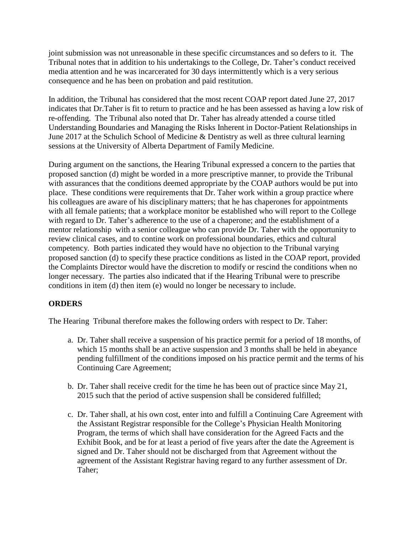joint submission was not unreasonable in these specific circumstances and so defers to it. The Tribunal notes that in addition to his undertakings to the College, Dr. Taher's conduct received media attention and he was incarcerated for 30 days intermittently which is a very serious consequence and he has been on probation and paid restitution.

In addition, the Tribunal has considered that the most recent COAP report dated June 27, 2017 indicates that Dr.Taher is fit to return to practice and he has been assessed as having a low risk of re-offending. The Tribunal also noted that Dr. Taher has already attended a course titled Understanding Boundaries and Managing the Risks Inherent in Doctor-Patient Relationships in June 2017 at the Schulich School of Medicine & Dentistry as well as three cultural learning sessions at the University of Alberta Department of Family Medicine.

During argument on the sanctions, the Hearing Tribunal expressed a concern to the parties that proposed sanction (d) might be worded in a more prescriptive manner, to provide the Tribunal with assurances that the conditions deemed appropriate by the COAP authors would be put into place. These conditions were requirements that Dr. Taher work within a group practice where his colleagues are aware of his disciplinary matters; that he has chaperones for appointments with all female patients; that a workplace monitor be established who will report to the College with regard to Dr. Taher's adherence to the use of a chaperone; and the establishment of a mentor relationship with a senior colleague who can provide Dr. Taher with the opportunity to review clinical cases, and to contine work on professional boundaries, ethics and cultural competency. Both parties indicated they would have no objection to the Tribunal varying proposed sanction (d) to specify these practice conditions as listed in the COAP report, provided the Complaints Director would have the discretion to modify or rescind the conditions when no longer necessary. The parties also indicated that if the Hearing Tribunal were to prescribe conditions in item (d) then item (e) would no longer be necessary to include.

## **ORDERS**

The Hearing Tribunal therefore makes the following orders with respect to Dr. Taher:

- a. Dr. Taher shall receive a suspension of his practice permit for a period of 18 months, of which 15 months shall be an active suspension and 3 months shall be held in abeyance pending fulfillment of the conditions imposed on his practice permit and the terms of his Continuing Care Agreement;
- b. Dr. Taher shall receive credit for the time he has been out of practice since May 21, 2015 such that the period of active suspension shall be considered fulfilled;
- c. Dr. Taher shall, at his own cost, enter into and fulfill a Continuing Care Agreement with the Assistant Registrar responsible for the College's Physician Health Monitoring Program, the terms of which shall have consideration for the Agreed Facts and the Exhibit Book, and be for at least a period of five years after the date the Agreement is signed and Dr. Taher should not be discharged from that Agreement without the agreement of the Assistant Registrar having regard to any further assessment of Dr. Taher;